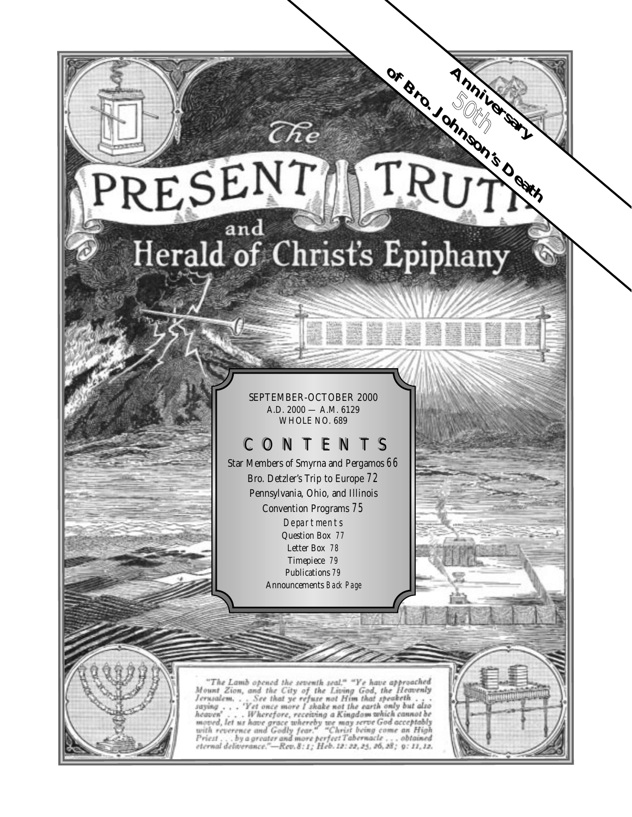# of Bro. Johnson's Death RESENT Herald of Christ's Epiphany

 $\widehat{C\hbar e}$ 

South C

SEPTEMBER-OCTOBER 2000 A.D. 2000 — A.M. 6129 WHOLE NO. 689

# CONTENTS

Star Members of Smyrna and Pergamos *66* Bro. Detzler's Trip to Europe *72* Pennsylvania, Ohio, and Illinois Convention Programs *75* Departments Question Box *77* Letter Box *78* Timepiece *79* Publications *79* Announcements *Back Page*



"The Lamb opened the seventh seal," "Ye have approached<br>Mount Zion, and the City of the Living God, the Heavenly<br>Jerusalem, . . . See that ye refuse not Him that speaketh . . .<br>saying . . . . "Yet once more I shake not th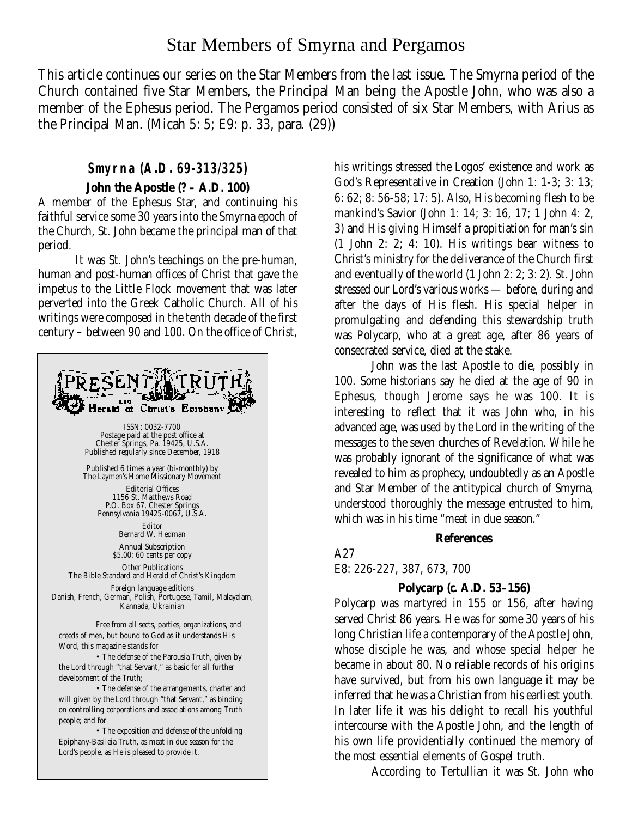# Star Members of Smyrna and Pergamos

This article continues our series on the Star Members from the last issue. The Smyrna period of the Church contained five Star Members, the Principal Man being the Apostle John, who was also a member of the Ephesus period. The Pergamos period consisted of six Star Members, with Arius as the Principal Man. (Micah 5: 5; E9: p. 33, para. (29))

## **Smyrna (A.D. 69-313/325)**

## **John the Apostle (? – A.D. 100)**

A member of the Ephesus Star, and continuing his faithful service some 30 years into the Smyrna epoch of the Church, St. John became the principal man of that period.

It was St. John's teachings on the pre-human, human and post-human offices of Christ that gave the impetus to the Little Flock movement that was later perverted into the Greek Catholic Church. All of his writings were composed in the tenth decade of the first century – between 90 and 100. On the office of Christ,



his writings stressed the Logos' existence and work as God's Representative in Creation (John 1: 1-3; 3: 13; 6: 62; 8: 56-58; 17: 5). Also, His becoming flesh to be mankind's Savior (John 1: 14; 3: 16, 17; 1 John 4: 2, 3) and His giving Himself a propitiation for man's sin (1 John 2: 2; 4: 10). His writings bear witness to Christ's ministry for the deliverance of the Church first and eventually of the world (1 John 2: 2; 3: 2). St. John stressed our Lord's various works — before, during and after the days of His flesh. His special helper in promulgating and defending this stewardship truth was Polycarp, who at a great age, after 86 years of consecrated service, died at the stake.

John was the last Apostle to die, possibly in 100. Some historians say he died at the age of 90 in Ephesus, though Jerome says he was 100. It is interesting to reflect that it was John who, in his advanced age, was used by the Lord in the writing of the messages to the seven churches of Revelation. While he was probably ignorant of the significance of what was revealed to him as prophecy, undoubtedly as an Apostle and Star Member of the antitypical church of Smyrna, understood thoroughly the message entrusted to him, which was in his time "meat in due season."

## **References**

## A27

E8: 226-227, 387, 673, 700

## **Polycarp (***c.* **A.D. 53–156)**

Polycarp was martyred in 155 or 156, after having served Christ 86 years. He was for some 30 years of his long Christian life a contemporary of the Apostle John, whose disciple he was, and whose special helper he became in about 80. No reliable records of his origins have survived, but from his own language it may be inferred that he was a Christian from his earliest youth. In later life it was his delight to recall his youthful intercourse with the Apostle John, and the length of his own life providentially continued the memory of the most essential elements of Gospel truth.

According to Tertullian it was St. John who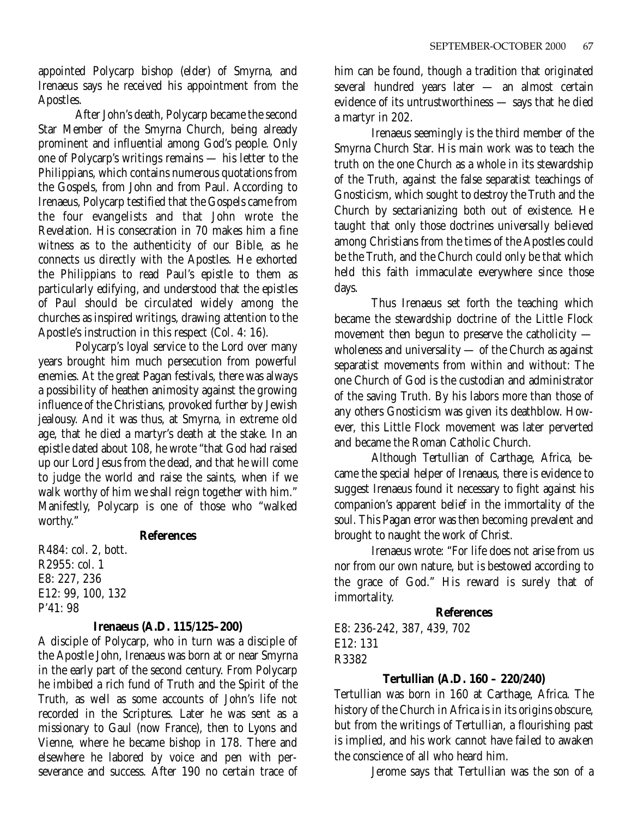appointed Polycarp bishop (elder) of Smyrna, and Irenaeus says he received his appointment from the Apostles.

After John's death, Polycarp became the second Star Member of the Smyrna Church, being already prominent and influential among God's people. Only one of Polycarp's writings remains — his letter to the Philippians, which contains numerous quotations from the Gospels, from John and from Paul. According to Irenaeus, Polycarp testified that the Gospels came from the four evangelists and that John wrote the Revelation. His consecration in 70 makes him a fine witness as to the authenticity of our Bible, as he connects us directly with the Apostles. He exhorted the Philippians to read Paul's epistle to them as particularly edifying, and understood that the epistles of Paul should be circulated widely among the churches as inspired writings, drawing attention to the Apostle's instruction in this respect (Col. 4: 16).

Polycarp's loyal service to the Lord over many years brought him much persecution from powerful enemies. At the great Pagan festivals, there was always a possibility of heathen animosity against the growing influence of the Christians, provoked further by Jewish jealousy. And it was thus, at Smyrna, in extreme old age, that he died a martyr's death at the stake. In an epistle dated about 108, he wrote "that God had raised up our Lord Jesus from the dead, and that he will come to judge the world and raise the saints, when if we walk worthy of him we shall reign together with him." Manifestly, Polycarp is one of those who "walked worthy."

## **References**

R484: col. 2, bott. R2955: col. 1 E8: 227, 236 E12: 99, 100, 132 P'41: 98

## **Irenaeus (A.D. 115/125–200)**

A disciple of Polycarp, who in turn was a disciple of the Apostle John, Irenaeus was born at or near Smyrna in the early part of the second century. From Polycarp he imbibed a rich fund of Truth and the Spirit of the Truth, as well as some accounts of John's life not recorded in the Scriptures. Later he was sent as a missionary to Gaul (now France), then to Lyons and Vienne, where he became bishop in 178. There and elsewhere he labored by voice and pen with perseverance and success. After 190 no certain trace of

him can be found, though a tradition that originated several hundred years later — an almost certain evidence of its untrustworthiness — says that he died a martyr in 202.

Irenaeus seemingly is the third member of the Smyrna Church Star. His main work was to teach the truth on the one Church as a whole in its stewardship of the Truth, against the false separatist teachings of Gnosticism, which sought to destroy the Truth and the Church by sectarianizing both out of existence. He taught that only those doctrines universally believed among Christians from the times of the Apostles could be the Truth, and the Church could only be that which held this faith immaculate everywhere since those days.

Thus Irenaeus set forth the teaching which became the stewardship doctrine of the Little Flock movement then begun to preserve the catholicity wholeness and universality — of the Church as against separatist movements from within and without: The one Church of God is the custodian and administrator of the saving Truth. By his labors more than those of any others Gnosticism was given its deathblow. However, this Little Flock movement was later perverted and became the Roman Catholic Church.

Although Tertullian of Carthage, Africa, became the special helper of Irenaeus, there is evidence to suggest Irenaeus found it necessary to fight against his companion's apparent belief in the immortality of the soul. This Pagan error was then becoming prevalent and brought to naught the work of Christ.

Irenaeus wrote: "For life does not arise from us nor from our own nature, but is bestowed according to the grace of God." His reward is surely that of immortality.

## **References**

E8: 236-242, 387, 439, 702 E12: 131 R3382

## **Tertullian (A.D. 160 – 220/240)**

Tertullian was born in 160 at Carthage, Africa. The history of the Church in Africa is in its origins obscure, but from the writings of Tertullian, a flourishing past is implied, and his work cannot have failed to awaken the conscience of all who heard him.

Jerome says that Tertullian was the son of a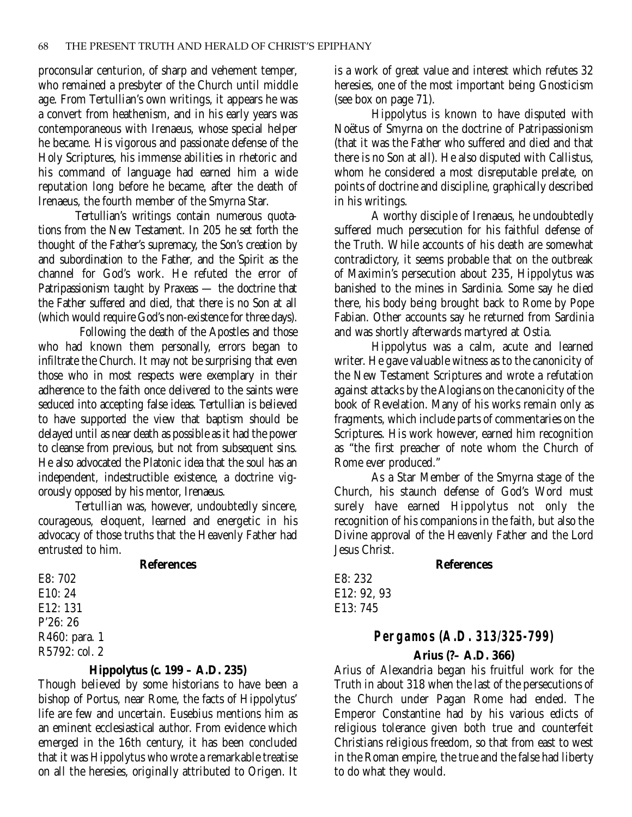proconsular centurion, of sharp and vehement temper, who remained a presbyter of the Church until middle age. From Tertullian's own writings, it appears he was a convert from heathenism, and in his early years was contemporaneous with Irenaeus, whose special helper he became. His vigorous and passionate defense of the Holy Scriptures, his immense abilities in rhetoric and his command of language had earned him a wide reputation long before he became, after the death of Irenaeus, the fourth member of the Smyrna Star.

Tertullian's writings contain numerous quotations from the New Testament. In 205 he set forth the thought of the Father's supremacy, the Son's creation by and subordination to the Father, and the Spirit as the channel for God's work. He refuted the error of Patripassionism taught by Praxeas — the doctrine that the Father suffered and died, that there is no Son at all (which would require God's non-existence for three days).

Following the death of the Apostles and those who had known them personally, errors began to infiltrate the Church. It may not be surprising that even those who in most respects were exemplary in their adherence to the faith once delivered to the saints were seduced into accepting false ideas. Tertullian is believed to have supported the view that baptism should be delayed until as near death as possible as it had the power to cleanse from previous, but not from subsequent sins. He also advocated the Platonic idea that the soul has an independent, indestructible existence, a doctrine vigorously opposed by his mentor, Irenaeus.

Tertullian was, however, undoubtedly sincere, courageous, eloquent, learned and energetic in his advocacy of those truths that the Heavenly Father had entrusted to him.

## **References**

E8: 702 E10: 24 E12: 131 P'26: 26 R460: para. 1 R5792: col. 2

## **Hippolytus (***c.* **199 – A.D. 235)**

Though believed by some historians to have been a bishop of Portus, near Rome, the facts of Hippolytus' life are few and uncertain. Eusebius mentions him as an eminent ecclesiastical author. From evidence which emerged in the 16th century, it has been concluded that it was Hippolytus who wrote a remarkable treatise on all the heresies, originally attributed to Origen. It is a work of great value and interest which refutes 32 heresies, one of the most important being Gnosticism (see box on page 71).

Hippolytus is known to have disputed with Noëtus of Smyrna on the doctrine of Patripassionism (that it was the Father who suffered and died and that there is no Son at all). He also disputed with Callistus, whom he considered a most disreputable prelate, on points of doctrine and discipline, graphically described in his writings.

A worthy disciple of Irenaeus, he undoubtedly suffered much persecution for his faithful defense of the Truth. While accounts of his death are somewhat contradictory, it seems probable that on the outbreak of Maximin's persecution about 235, Hippolytus was banished to the mines in Sardinia. Some say he died there, his body being brought back to Rome by Pope Fabian. Other accounts say he returned from Sardinia and was shortly afterwards martyred at Ostia.

Hippolytus was a calm, acute and learned writer. He gave valuable witness as to the canonicity of the New Testament Scriptures and wrote a refutation against attacks by the Alogians on the canonicity of the book of Revelation. Many of his works remain only as fragments, which include parts of commentaries on the Scriptures. His work however, earned him recognition as "the first preacher of note whom the Church of Rome ever produced."

As a Star Member of the Smyrna stage of the Church, his staunch defense of God's Word must surely have earned Hippolytus not only the recognition of his companions in the faith, but also the Divine approval of the Heavenly Father and the Lord Jesus Christ.

## **References**

E8: 232 E12: 92, 93 E13: 745

# **Pergamos (A.D. 313/325-799)**

## **Arius (?– A.D. 366)**

Arius of Alexandria began his fruitful work for the Truth in about 318 when the last of the persecutions of the Church under Pagan Rome had ended. The Emperor Constantine had by his various edicts of religious tolerance given both true and counterfeit Christians religious freedom, so that from east to west in the Roman empire, the true and the false had liberty to do what they would.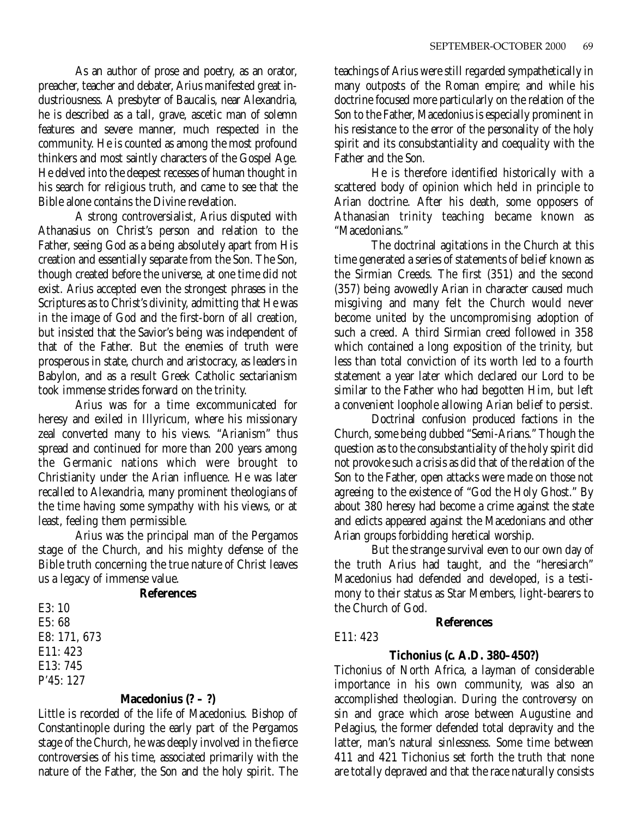As an author of prose and poetry, as an orator, preacher, teacher and debater, Arius manifested great industriousness. A presbyter of Baucalis, near Alexandria, he is described as a tall, grave, ascetic man of solemn features and severe manner, much respected in the community. He is counted as among the most profound thinkers and most saintly characters of the Gospel Age. He delved into the deepest recesses of human thought in his search for religious truth, and came to see that the Bible alone contains the Divine revelation.

A strong controversialist, Arius disputed with Athanasius on Christ's person and relation to the Father, seeing God as a being absolutely apart from His creation and essentially separate from the Son. The Son, though created before the universe, at one time did not exist. Arius accepted even the strongest phrases in the Scriptures as to Christ's divinity, admitting that He was in the image of God and the first-born of all creation, but insisted that the Savior's being was independent of that of the Father. But the enemies of truth were prosperous in state, church and aristocracy, as leaders in Babylon, and as a result Greek Catholic sectarianism took immense strides forward on the trinity.

Arius was for a time excommunicated for heresy and exiled in Illyricum, where his missionary zeal converted many to his views. "Arianism" thus spread and continued for more than 200 years among the Germanic nations which were brought to Christianity under the Arian influence. He was later recalled to Alexandria, many prominent theologians of the time having some sympathy with his views, or at least, feeling them permissible.

Arius was the principal man of the Pergamos stage of the Church, and his mighty defense of the Bible truth concerning the true nature of Christ leaves us a legacy of immense value.

## **References**

E3: 10 E5: 68 E8: 171, 673 E11: 423 E13: 745 P'45: 127

## **Macedonius (? – ?)**

Little is recorded of the life of Macedonius. Bishop of Constantinople during the early part of the Pergamos stage of the Church, he was deeply involved in the fierce controversies of his time, associated primarily with the nature of the Father, the Son and the holy spirit. The

teachings of Arius were still regarded sympathetically in many outposts of the Roman empire; and while his doctrine focused more particularly on the relation of the Son to the Father, Macedonius is especially prominent in his resistance to the error of the personality of the holy spirit and its consubstantiality and coequality with the Father and the Son.

He is therefore identified historically with a scattered body of opinion which held in principle to Arian doctrine. After his death, some opposers of Athanasian trinity teaching became known as "Macedonians."

The doctrinal agitations in the Church at this time generated a series of statements of belief known as the Sirmian Creeds. The first (351) and the second (357) being avowedly Arian in character caused much misgiving and many felt the Church would never become united by the uncompromising adoption of such a creed. A third Sirmian creed followed in 358 which contained a long exposition of the trinity, but less than total conviction of its worth led to a fourth statement a year later which declared our Lord to be similar to the Father who had begotten Him, but left a convenient loophole allowing Arian belief to persist.

Doctrinal confusion produced factions in the Church, some being dubbed "Semi-Arians." Though the question as to the consubstantiality of the holy spirit did not provoke such a crisis as did that of the relation of the Son to the Father, open attacks were made on those not agreeing to the existence of "God the Holy Ghost." By about 380 heresy had become a crime against the state and edicts appeared against the Macedonians and other Arian groups forbidding heretical worship.

But the strange survival even to our own day of the truth Arius had taught, and the "heresiarch" Macedonius had defended and developed, is a testimony to their status as Star Members, light-bearers to the Church of God.

## **References**

## E11: 423

## **Tichonius (***c.* **A.D. 380–450?)**

Tichonius of North Africa, a layman of considerable importance in his own community, was also an accomplished theologian. During the controversy on sin and grace which arose between Augustine and Pelagius, the former defended total depravity and the latter, man's natural sinlessness. Some time between 411 and 421 Tichonius set forth the truth that none are totally depraved and that the race naturally consists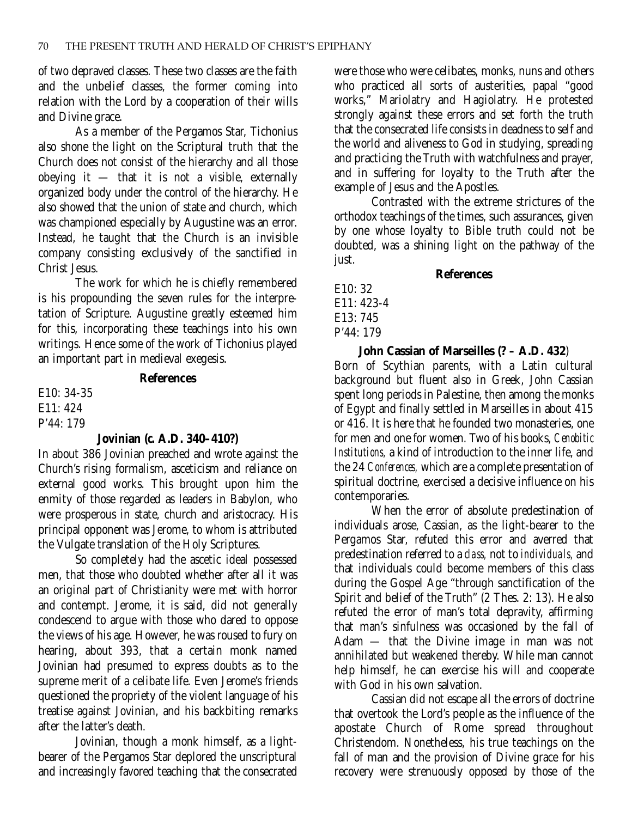of two depraved classes. These two classes are the faith and the unbelief classes, the former coming into relation with the Lord by a cooperation of their wills and Divine grace.

As a member of the Pergamos Star, Tichonius also shone the light on the Scriptural truth that the Church does not consist of the hierarchy and all those obeying it  $-$  that it is not a visible, externally organized body under the control of the hierarchy. He also showed that the union of state and church, which was championed especially by Augustine was an error. Instead, he taught that the Church is an invisible company consisting exclusively of the sanctified in Christ Jesus.

The work for which he is chiefly remembered is his propounding the seven rules for the interpretation of Scripture. Augustine greatly esteemed him for this, incorporating these teachings into his own writings. Hence some of the work of Tichonius played an important part in medieval exegesis.

## **References**

E10: 34-35 E11: 424 P'44: 179

## **Jovinian (***c.* **A.D. 340–410?)**

In about 386 Jovinian preached and wrote against the Church's rising formalism, asceticism and reliance on external good works. This brought upon him the enmity of those regarded as leaders in Babylon, who were prosperous in state, church and aristocracy. His principal opponent was Jerome, to whom is attributed the Vulgate translation of the Holy Scriptures.

So completely had the ascetic ideal possessed men, that those who doubted whether after all it was an original part of Christianity were met with horror and contempt. Jerome, it is said, did not generally condescend to argue with those who dared to oppose the views of his age. However, he was roused to fury on hearing, about 393, that a certain monk named Jovinian had presumed to express doubts as to the supreme merit of a celibate life. Even Jerome's friends questioned the propriety of the violent language of his treatise against Jovinian, and his backbiting remarks after the latter's death.

Jovinian, though a monk himself, as a lightbearer of the Pergamos Star deplored the unscriptural and increasingly favored teaching that the consecrated

were those who were celibates, monks, nuns and others who practiced all sorts of austerities, papal "good works," Mariolatry and Hagiolatry. He protested strongly against these errors and set forth the truth that the consecrated life consists in deadness to self and the world and aliveness to God in studying, spreading and practicing the Truth with watchfulness and prayer, and in suffering for loyalty to the Truth after the example of Jesus and the Apostles.

Contrasted with the extreme strictures of the orthodox teachings of the times, such assurances, given by one whose loyalty to Bible truth could not be doubted, was a shining light on the pathway of the just.

**References**

E10: 32 E11: 423-4 E13: 745 P'44: 179

**John Cassian of Marseilles (? – A.D. 432**) Born of Scythian parents, with a Latin cultural background but fluent also in Greek, John Cassian spent long periods in Palestine, then among the monks of Egypt and finally settled in Marseilles in about 415 or 416. It is here that he founded two monasteries, one for men and one for women. Two of his books, *Cenobitic Institutions,* a kind of introduction to the inner life, and the 24 *Conferences,* which are a complete presentation of spiritual doctrine, exercised a decisive influence on his contemporaries.

When the error of absolute predestination of individuals arose, Cassian, as the light-bearer to the Pergamos Star, refuted this error and averred that predestination referred to a *class,* not to *individuals,* and that individuals could become members of this class during the Gospel Age "through sanctification of the Spirit and belief of the Truth" (2 Thes. 2: 13). He also refuted the error of man's total depravity, affirming that man's sinfulness was occasioned by the fall of Adam — that the Divine image in man was not annihilated but weakened thereby. While man cannot help himself, he can exercise his will and cooperate with God in his own salvation.

Cassian did not escape all the errors of doctrine that overtook the Lord's people as the influence of the apostate Church of Rome spread throughout Christendom. Nonetheless, his true teachings on the fall of man and the provision of Divine grace for his recovery were strenuously opposed by those of the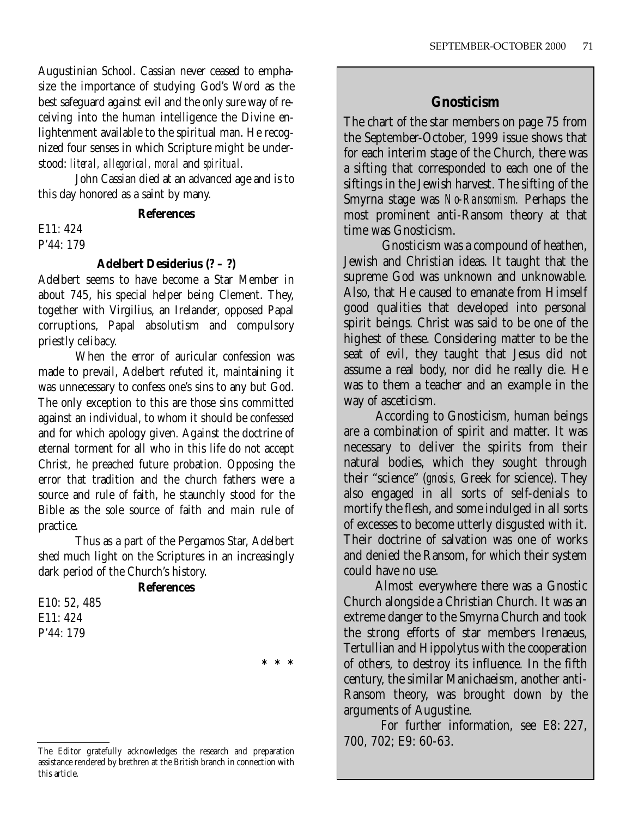Augustinian School. Cassian never ceased to emphasize the importance of studying God's Word as the best safeguard against evil and the only sure way of receiving into the human intelligence the Divine enlightenment available to the spiritual man. He recognized four senses in which Scripture might be understood: *literal, allegorical, moral* and *spiritual.*

John Cassian died at an advanced age and is to this day honored as a saint by many.

## **References**

E11: 424 P'44: 179

## **Adelbert Desiderius (? – ?)**

Adelbert seems to have become a Star Member in about 745, his special helper being Clement. They, together with Virgilius, an Irelander, opposed Papal corruptions, Papal absolutism and compulsory priestly celibacy.

When the error of auricular confession was made to prevail, Adelbert refuted it, maintaining it was unnecessary to confess one's sins to any but God. The only exception to this are those sins committed against an individual, to whom it should be confessed and for which apology given. Against the doctrine of eternal torment for all who in this life do not accept Christ, he preached future probation. Opposing the error that tradition and the church fathers were a source and rule of faith, he staunchly stood for the Bible as the sole source of faith and main rule of practice.

Thus as a part of the Pergamos Star, Adelbert shed much light on the Scriptures in an increasingly dark period of the Church's history.

**References**

E10: 52, 485 E11: 424 P'44: 179

**\*\*\***

## **Gnosticism**

The chart of the star members on page 75 from the September-October, 1999 issue shows that for each interim stage of the Church, there was a sifting that corresponded to each one of the siftings in the Jewish harvest. The sifting of the Smyrna stage was *No-Ransomism.* Perhaps the most prominent anti-Ransom theory at that time was Gnosticism.

Gnosticism was a compound of heathen, Jewish and Christian ideas. It taught that the supreme God was unknown and unknowable. Also, that He caused to emanate from Himself good qualities that developed into personal spirit beings. Christ was said to be one of the highest of these. Considering matter to be the seat of evil, they taught that Jesus did not assume a real body, nor did he really die. He was to them a teacher and an example in the way of asceticism.

According to Gnosticism, human beings are a combination of spirit and matter. It was necessary to deliver the spirits from their natural bodies, which they sought through their "science" (*gnosis,* Greek for science). They also engaged in all sorts of self-denials to mortify the flesh, and some indulged in all sorts of excesses to become utterly disgusted with it. Their doctrine of salvation was one of works and denied the Ransom, for which their system could have no use.

Almost everywhere there was a Gnostic Church alongside a Christian Church. It was an extreme danger to the Smyrna Church and took the strong efforts of star members Irenaeus, Tertullian and Hippolytus with the cooperation of others, to destroy its influence. In the fifth century, the similar Manichaeism, another anti-Ransom theory, was brought down by the arguments of Augustine.

For further information, see E8: 227, 700, 702; E9: 60-63.

The Editor gratefully acknowledges the research and preparation assistance rendered by brethren at the British branch in connection with this article.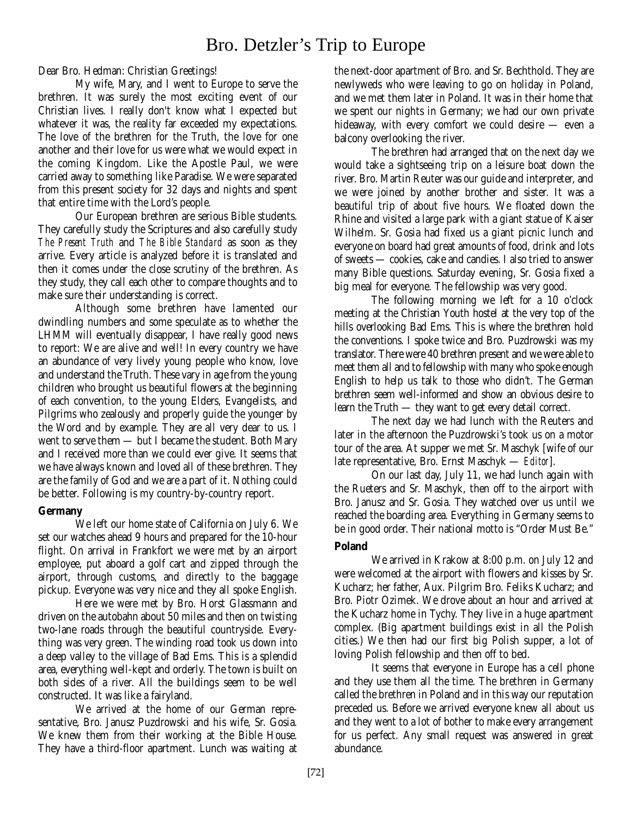# Bro. Detzler's Trip to Europe

Dear Bro. Hedman: Christian Greetings!

My wife, Mary, and I went to Europe to serve the brethren. It was surely the most exciting event of our Christian lives. I really don't know what I expected but whatever it was, the reality far exceeded my expectations. The love of the brethren for the Truth, the love for one another and their love for us were what we would expect in the coming Kingdom. Like the Apostle Paul, we were carried away to something like Paradise. We were separated from this present society for 32 days and nights and spent that entire time with the Lord's people.

Our European brethren are serious Bible students. They carefully study the Scriptures and also carefully study *The Present Truth* and *The Bible Standard* as soon as they arrive. Every article is analyzed before it is translated and then it comes under the close scrutiny of the brethren. As they study, they call each other to compare thoughts and to make sure their understanding is correct.

Although some brethren have lamented our dwindling numbers and some speculate as to whether the LHMM will eventually disappear, I have really good news to report: We are alive and well! In every country we have an abundance of very lively young people who know, love and understand the Truth. These vary in age from the young children who brought us beautiful flowers at the beginning of each convention, to the young Elders, Evangelists, and Pilgrims who zealously and properly guide the younger by the Word and by example. They are all very dear to us. I went to serve them — but I became the student. Both Mary and I received more than we could ever give. It seems that we have always known and loved all of these brethren. They are the family of God and we are a part of it. Nothing could be better. Following is my country-by-country report.

## **Germany**

We left our home state of California on July 6. We set our watches ahead 9 hours and prepared for the 10-hour flight. On arrival in Frankfort we were met by an airport employee, put aboard a golf cart and zipped through the airport, through customs, and directly to the baggage pickup. Everyone was very nice and they all spoke English.

Here we were met by Bro. Horst Glassmann and driven on the autobahn about 50 miles and then on twisting two-lane roads through the beautiful countryside. Everything was very green. The winding road took us down into a deep valley to the village of Bad Ems. This is a splendid area, everything well-kept and orderly. The town is built on both sides of a river. All the buildings seem to be well constructed. It was like a fairyland.

We arrived at the home of our German representative, Bro. Janusz Puzdrowski and his wife, Sr. Gosia. We knew them from their working at the Bible House. They have a third-floor apartment. Lunch was waiting at the next-door apartment of Bro. and Sr. Bechthold. They are newlyweds who were leaving to go on holiday in Poland, and we met them later in Poland. It was in their home that we spent our nights in Germany; we had our own private hideaway, with every comfort we could desire — even a balcony overlooking the river.

The brethren had arranged that on the next day we would take a sightseeing trip on a leisure boat down the river. Bro. Martin Reuter was our guide and interpreter, and we were joined by another brother and sister. It was a beautiful trip of about five hours. We floated down the Rhine and visited a large park with a giant statue of Kaiser Wilhelm. Sr. Gosia had fixed us a giant picnic lunch and everyone on board had great amounts of food, drink and lots of sweets — cookies, cake and candies. I also tried to answer many Bible questions. Saturday evening, Sr. Gosia fixed a big meal for everyone. The fellowship was very good.

The following morning we left for a 10 o'clock meeting at the Christian Youth hostel at the very top of the hills overlooking Bad Ems. This is where the brethren hold the conventions. I spoke twice and Bro. Puzdrowski was my translator. There were 40 brethren present and we were able to meet them all and to fellowship with many who spoke enough English to help us talk to those who didn't. The German brethren seem well-informed and show an obvious desire to learn the Truth — they want to get every detail correct.

The next day we had lunch with the Reuters and later in the afternoon the Puzdrowski's took us on a motor tour of the area. At supper we met Sr. Maschyk [wife of our late representative, Bro. Ernst Maschyk — *Editor*].

On our last day, July 11, we had lunch again with the Rueters and Sr. Maschyk, then off to the airport with Bro. Janusz and Sr. Gosia. They watched over us until we reached the boarding area. Everything in Germany seems to be in good order. Their national motto is "Order Must Be."

## **Poland**

We arrived in Krakow at 8:00 p.m. on July 12 and were welcomed at the airport with flowers and kisses by Sr. Kucharz; her father, Aux. Pilgrim Bro. Feliks Kucharz; and Bro. Piotr Ozimek. We drove about an hour and arrived at the Kucharz home in Tychy. They live in a huge apartment complex. (Big apartment buildings exist in all the Polish cities.) We then had our first big Polish supper, a lot of loving Polish fellowship and then off to bed.

It seems that everyone in Europe has a cell phone and they use them all the time. The brethren in Germany called the brethren in Poland and in this way our reputation preceded us. Before we arrived everyone knew all about us and they went to a lot of bother to make every arrangement for us perfect. Any small request was answered in great abundance.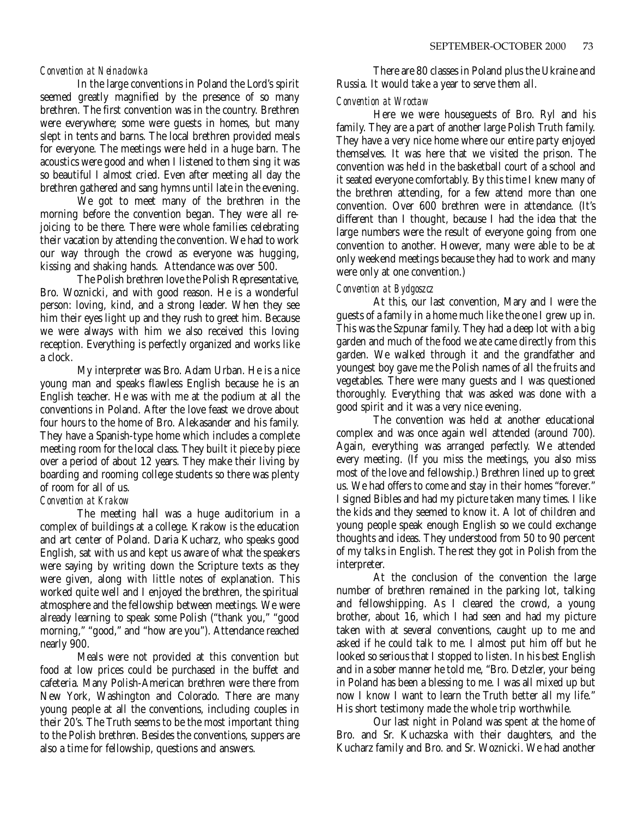## *Convention at Neinadowka*

In the large conventions in Poland the Lord's spirit seemed greatly magnified by the presence of so many brethren. The first convention was in the country. Brethren were everywhere; some were guests in homes, but many slept in tents and barns. The local brethren provided meals for everyone. The meetings were held in a huge barn. The acoustics were good and when I listened to them sing it was so beautiful I almost cried. Even after meeting all day the brethren gathered and sang hymns until late in the evening.

We got to meet many of the brethren in the morning before the convention began. They were all rejoicing to be there. There were whole families celebrating their vacation by attending the convention. We had to work our way through the crowd as everyone was hugging, kissing and shaking hands. Attendance was over 500.

The Polish brethren love the Polish Representative, Bro. Woznicki, and with good reason. He is a wonderful person: loving, kind, and a strong leader. When they see him their eyes light up and they rush to greet him. Because we were always with him we also received this loving reception. Everything is perfectly organized and works like a clock.

My interpreter was Bro. Adam Urban. He is a nice young man and speaks flawless English because he is an English teacher. He was with me at the podium at all the conventions in Poland. After the love feast we drove about four hours to the home of Bro. Alekasander and his family. They have a Spanish-type home which includes a complete meeting room for the local class. They built it piece by piece over a period of about 12 years. They make their living by boarding and rooming college students so there was plenty of room for all of us.

## *Convention at Krakow*

The meeting hall was a huge auditorium in a complex of buildings at a college. Krakow is the education and art center of Poland. Daria Kucharz, who speaks good English, sat with us and kept us aware of what the speakers were saying by writing down the Scripture texts as they were given, along with little notes of explanation. This worked quite well and I enjoyed the brethren, the spiritual atmosphere and the fellowship between meetings. We were already learning to speak some Polish ("thank you," "good morning," "good," and "how are you"). Attendance reached nearly 900.

Meals were not provided at this convention but food at low prices could be purchased in the buffet and cafeteria. Many Polish-American brethren were there from New York, Washington and Colorado. There are many young people at all the conventions, including couples in their 20's. The Truth seems to be the most important thing to the Polish brethren. Besides the conventions, suppers are also a time for fellowship, questions and answers.

There are 80 classes in Poland plus the Ukraine and Russia. It would take a year to serve them all.

## *Convention at Wroctaw*

Here we were houseguests of Bro. Ryl and his family. They are a part of another large Polish Truth family. They have a very nice home where our entire party enjoyed themselves. It was here that we visited the prison. The convention was held in the basketball court of a school and it seated everyone comfortably. By this time I knew many of the brethren attending, for a few attend more than one convention. Over 600 brethren were in attendance. (It's different than I thought, because I had the idea that the large numbers were the result of everyone going from one convention to another. However, many were able to be at only weekend meetings because they had to work and many were only at one convention.)

## *Convention at Bydgoszcz*

At this, our last convention, Mary and I were the guests of a family in a home much like the one I grew up in. This was the Szpunar family. They had a deep lot with a big garden and much of the food we ate came directly from this garden. We walked through it and the grandfather and youngest boy gave me the Polish names of all the fruits and vegetables. There were many guests and I was questioned thoroughly. Everything that was asked was done with a good spirit and it was a very nice evening.

The convention was held at another educational complex and was once again well attended (around 700). Again, everything was arranged perfectly. We attended every meeting. (If you miss the meetings, you also miss most of the love and fellowship.) Brethren lined up to greet us. We had offers to come and stay in their homes "forever." I signed Bibles and had my picture taken many times. I like the kids and they seemed to know it. A lot of children and young people speak enough English so we could exchange thoughts and ideas. They understood from 50 to 90 percent of my talks in English. The rest they got in Polish from the interpreter.

At the conclusion of the convention the large number of brethren remained in the parking lot, talking and fellowshipping. As I cleared the crowd, a young brother, about 16, which I had seen and had my picture taken with at several conventions, caught up to me and asked if he could talk to me. I almost put him off but he looked so serious that I stopped to listen. In his best English and in a sober manner he told me, "Bro. Detzler, your being in Poland has been a blessing to me. I was all mixed up but now I know I want to learn the Truth better all my life." His short testimony made the whole trip worthwhile.

Our last night in Poland was spent at the home of Bro. and Sr. Kuchazska with their daughters, and the Kucharz family and Bro. and Sr. Woznicki. We had another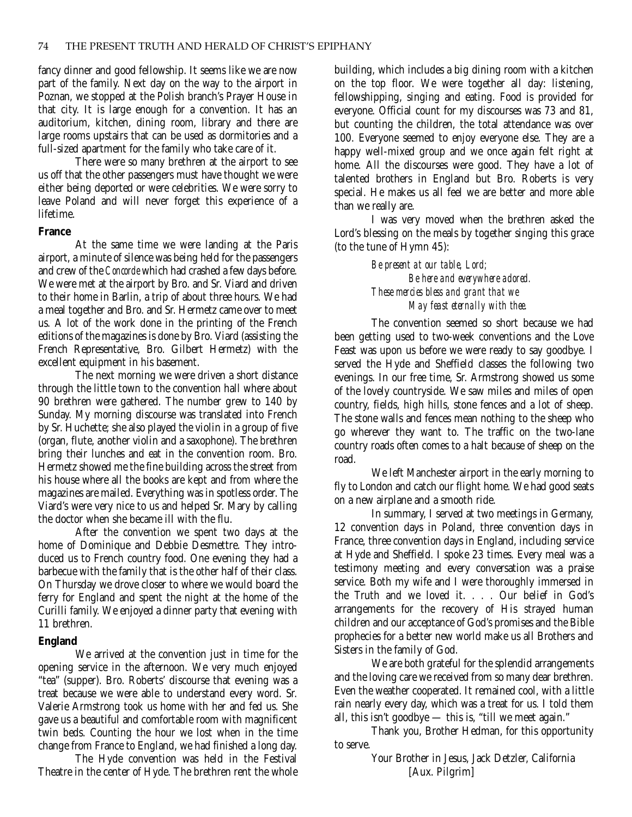fancy dinner and good fellowship. It seems like we are now part of the family. Next day on the way to the airport in Poznan, we stopped at the Polish branch's Prayer House in that city. It is large enough for a convention. It has an auditorium, kitchen, dining room, library and there are large rooms upstairs that can be used as dormitories and a full-sized apartment for the family who take care of it.

There were so many brethren at the airport to see us off that the other passengers must have thought we were either being deported or were celebrities. We were sorry to leave Poland and will never forget this experience of a lifetime.

## **France**

At the same time we were landing at the Paris airport, a minute of silence was being held for the passengers and crew of the *Concorde* which had crashed a few days before. We were met at the airport by Bro. and Sr. Viard and driven to their home in Barlin, a trip of about three hours. We had a meal together and Bro. and Sr. Hermetz came over to meet us. A lot of the work done in the printing of the French editions of the magazines is done by Bro. Viard (assisting the French Representative, Bro. Gilbert Hermetz) with the excellent equipment in his basement.

The next morning we were driven a short distance through the little town to the convention hall where about 90 brethren were gathered. The number grew to 140 by Sunday. My morning discourse was translated into French by Sr. Huchette; she also played the violin in a group of five (organ, flute, another violin and a saxophone). The brethren bring their lunches and eat in the convention room. Bro. Hermetz showed me the fine building across the street from his house where all the books are kept and from where the magazines are mailed. Everything was in spotless order. The Viard's were very nice to us and helped Sr. Mary by calling the doctor when she became ill with the flu.

After the convention we spent two days at the home of Dominique and Debbie Desmettre. They introduced us to French country food. One evening they had a barbecue with the family that is the other half of their class. On Thursday we drove closer to where we would board the ferry for England and spent the night at the home of the Curilli family. We enjoyed a dinner party that evening with 11 brethren.

## **England**

We arrived at the convention just in time for the opening service in the afternoon. We very much enjoyed "tea" (supper). Bro. Roberts' discourse that evening was a treat because we were able to understand every word. Sr. Valerie Armstrong took us home with her and fed us. She gave us a beautiful and comfortable room with magnificent twin beds. Counting the hour we lost when in the time change from France to England, we had finished a long day.

The Hyde convention was held in the Festival Theatre in the center of Hyde. The brethren rent the whole building, which includes a big dining room with a kitchen on the top floor. We were together all day: listening, fellowshipping, singing and eating. Food is provided for everyone. Official count for my discourses was 73 and 81, but counting the children, the total attendance was over 100. Everyone seemed to enjoy everyone else. They are a happy well-mixed group and we once again felt right at home. All the discourses were good. They have a lot of talented brothers in England but Bro. Roberts is very special. He makes us all feel we are better and more able than we really are.

I was very moved when the brethren asked the Lord's blessing on the meals by together singing this grace (to the tune of Hymn 45):

> *Be present at our table, Lord; Be here and everywhere adored. These mercies bless and grant that we May feast eternally with thee.*

The convention seemed so short because we had been getting used to two-week conventions and the Love Feast was upon us before we were ready to say goodbye. I served the Hyde and Sheffield classes the following two evenings. In our free time, Sr. Armstrong showed us some of the lovely countryside. We saw miles and miles of open country, fields, high hills, stone fences and a lot of sheep. The stone walls and fences mean nothing to the sheep who go wherever they want to. The traffic on the two-lane country roads often comes to a halt because of sheep on the road.

We left Manchester airport in the early morning to fly to London and catch our flight home. We had good seats on a new airplane and a smooth ride.

In summary, I served at two meetings in Germany, 12 convention days in Poland, three convention days in France, three convention days in England, including service at Hyde and Sheffield. I spoke 23 times. Every meal was a testimony meeting and every conversation was a praise service. Both my wife and I were thoroughly immersed in the Truth and we loved it. . . . Our belief in God's arrangements for the recovery of His strayed human children and our acceptance of God's promises and the Bible prophecies for a better new world make us all Brothers and Sisters in the family of God.

We are both grateful for the splendid arrangements and the loving care we received from so many dear brethren. Even the weather cooperated. It remained cool, with a little rain nearly every day, which was a treat for us. I told them all, this isn't goodbye — this is, "till we meet again."

Thank you, Brother Hedman, for this opportunity to serve.

> Your Brother in Jesus, Jack Detzler, California [Aux. Pilgrim]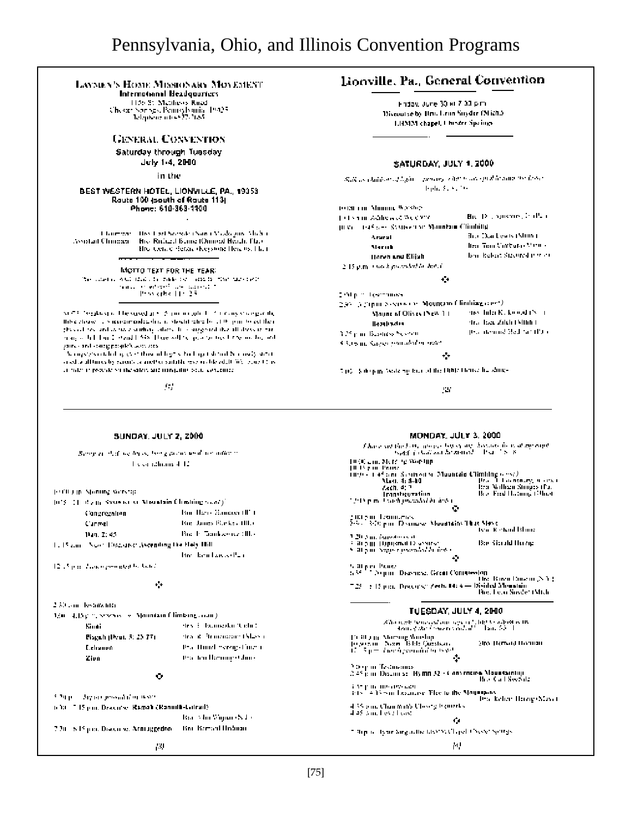# Pennsylvania, Ohio, and Illinois Convention Programs

## LAVMEN'S HOME MISSIONARY MOVEMENT

International Headquiriers

1156 St. Matthews Road<br>Chestri Norings, Pennsylvania, 19425<br>- Telephone interest? (165

## **GENERAL CONVENTION**

Saturday through Tuesday

July 1-4, 2000

in the

BEST WESTERN HOTEL, LIONVILLE, PA., 19353 Route 100 (south of Route 113) Phone: 610-363-1100

Chairman - Hey Larl Sonson (Nam Cytokogun, Shohu, Bree Richard BunnerOnmood Heach, Plats Assistant Chinesen Hro, Conce Herzie (Keystone Heie 98, Hich

MOTTO TEXT FOR THE YEAR:

The constant well adds to waike the mass for the parts that the boundary constant  $\sim$  1000 kpbs [10, 2.5]  $\sim$ 

SUPER regulary in The superflut Supreme code 1. If it can show particular lithe close. It's recommended that it steelst refire by 1100 pair to extille a physical resulted as now studied, believe the component that all direction has many of full limit of end I SBS. How will be appropriated integrated and yarras and stategy<br>explicit in a control of the state of lagers that up toleral becausely state.

orsed and throughly economic another suitable research benefit (WE result the contact reproduced the sites, and manipular book concentra-

94

## Lionville, Pa., General Convention

Findaw June 30 et 7.33 p.m. Discourse by Brucheim Suyder (Mich.) LHMM chapel, I hinder Spaings

#### **SATURDAY, JULY 1, 2000**

Sulvas chilibor of light - pencity when you speak leader the looke Tophe Services

| to tai i m. Minimik Waship                       |                                |  |  |  |
|--------------------------------------------------|--------------------------------|--|--|--|
| t et somme Address og Weld 2006                  | Highly contents, in their      |  |  |  |
| The Contribution of Mountain Climbity<br>III 51  |                                |  |  |  |
| Ararat                                           | the Darkegis (Shim)            |  |  |  |
| Mariak                                           | lica, Tian Curbata Michie      |  |  |  |
| Harvh and Elijah                                 | lsen, Rebert Stadtred it troct |  |  |  |
| 2.15 p.m. i wa kupiandalile dolafi               |                                |  |  |  |
|                                                  |                                |  |  |  |
| Distinct Teammass                                |                                |  |  |  |
| 2.95 (a Pipur Newton Co., Mountain Climbian com) |                                |  |  |  |
| Mayne of Olives (New 14)                         | des Julia K., koold (N., 1     |  |  |  |
| lleadhacha                                       | dra daga Zilah (Munt)          |  |  |  |
| 125 p.m. Bushess Sesson                          | peachtening Stad Simillon      |  |  |  |
| Chileson, Sagger from abolistic search           |                                |  |  |  |

#### ÷

740 Salepin State by fact of the Hills House he should

927

MONDAY, JULY 3, 2000.

#### **SUNDAY, JULY 2, 2000**

Being in that we be is, but gained with an inferim The constitutions of TC

FOULD IN Moning Working

|                                                 | [013] [1] By m. Systems is Mountain Christing Scott). |  |
|-------------------------------------------------|-------------------------------------------------------|--|
| Cangregation                                    | Bur Harry Sammer (III)                                |  |
| Carmel                                          | Bur James Planker (Ill.)                              |  |
| 14m, Z: 45.                                     | But It Tomksones (III.)                               |  |
| 1. 15 cm Noon Discounce Ascending the Help Hill |                                                       |  |
|                                                 | Historical Arcael Part                                |  |

12.7 p.m. Lawie perioded by June.

#### $\bullet$

2.30 cm. lessinguites. 1/00 4.15 pm, Shows all s. Mountain Climbing collit). Sinai des E. bumazkir Widir ( Piageh (Deut. 5: 23-77). this of Photometer (Mass.). that Hund hereig Council **Colision** this feathermig (Ghin). Zien ō

5.20 p.m. Arguan proseduling texts. 1000 715 pm. Drssniw, Ramah (Ramoth-Latrad). Bar Alm Vigna (Nd) Bio-Bamard Hisboan 7.20 S.P. juni Discorse, Armaggedon-

## $f$  have set the first category between the heavily form of my enjoy  $\mu_{\rm{M}}(f)$  can be matted . For all Section (1930) Line Merry of Wording<br>
(1935) 2008 (1939) Highland Schultz (1939) (1939) 2008 (1939)<br>
(1939) 2008 (1949) 2008 (1949) 2008 (1949) 2008 (1949)<br>
(1949) 2008 (1949) 2008 (1949) 2008 (1949) 2009 (1949)<br>
(1949) 2009 (194 Maei, 4: 8-10<br>Zech, 4: 7 one in Pappratium<br>Thin Paul Montevedad de Artes - 200 Sun Tremmerics<br>200 - 300 pm. Dismasy, November 1940 Star Chart<br>200 Sun American of 2.20 Ann. (apsolution)<br>2.30 Ann. (Opipinal Discourse)<br>2.30 Ann. (experimental distingui **Backlaudd Huvie** 5.30 per Praise<br>5.35 - Depart Discourse, Great Continuedon the Baya Dayou (NA) 728 - El Sipin, Discovse Zech, 14: 4 — District Monistin<br>Bio, Feor Sirvée (Mildi TUESDAY, JULY 4, 2000  $\label{eq:2} \begin{array}{lll} \mathcal{B}^{\alpha}_{\text{max}}(n,m) = \frac{1}{2} \int_{0}^{1} \int_{0}^{1} \left( \int_{0}^{1} \int_{0}^{1} \int_{0}^{1} \int_{0}^{1} \int_{0}^{1} \int_{0}^{1} \int_{0}^{1} \int_{0}^{1} \int_{0}^{1} \int_{0}^{1} \int_{0}^{1} \int_{0}^{1} \int_{0}^{1} \int_{0}^{1} \int_{0}^{1} \int_{0}^{1} \int_{0}^{1} \int_{0}^{1} \int_{0}^{1} \int_{0}^{1$ 15.30 am Marsing Woodup<br>16.90 am - Novel 18.00 Question<br>17.13 pm - Londi generalist to type Mgy Herwird Horman

 $\frac{5}{2}$  Separation Constitution Section 1983.<br>  $\frac{5.45}{2}$  p.m. Discusses: Hymn 52 + Convenience Mountaining.<br>  $\frac{1}{2}$  Constitution 2007.

 $\{X\}$  in the coverage<br> $\{X\}$  of the Mountains of the Mountains of the Harring (Mayo)<br> $4.33$  cm. Chanding Chosen beams to the South Corol of the Kelter Harring (Mayo)<br> $4.46$  And FeM I set:

#### ۰

7.3hp to Type Sing active Live with red Choose Springs

м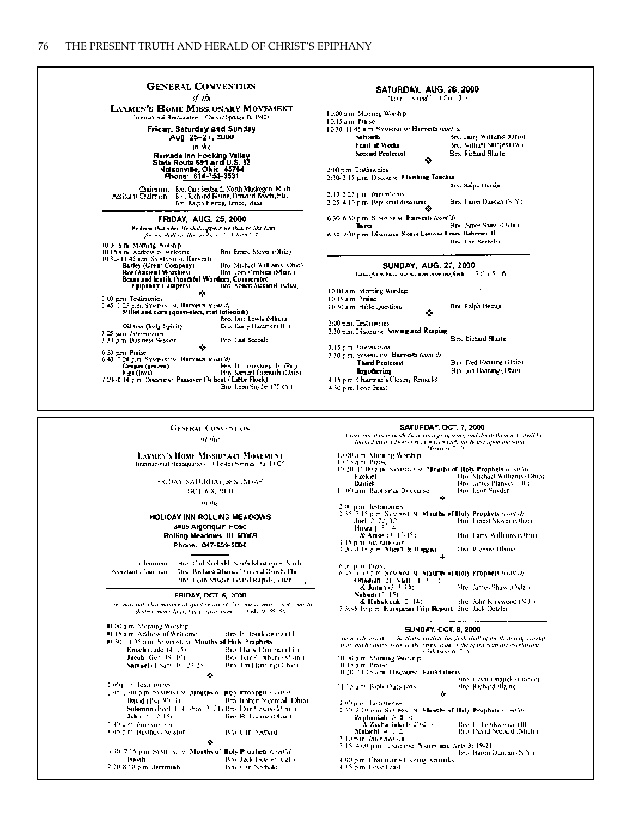| General Conventon<br>st vin                                                                                                        | <b>SATURDAY, AUG. 28, 2000</b><br>There is and I find 1.4 |                             |
|------------------------------------------------------------------------------------------------------------------------------------|-----------------------------------------------------------|-----------------------------|
| <b>LAYMEN'S HOME MISSIONARY MOVEMENT</b><br>'n ensis wat Hermannen'. Ook in Springe Pr. 1940s.                                     | Te.30 anni Monney World pi<br>13.15 ann Phoe.             |                             |
| Friday, Saturday and Sunday                                                                                                        | 1200 H 49 am Syversity: Harrick was st.                   |                             |
| Aug 25-27,2000                                                                                                                     | <b>Subbell</b>                                            | Beautions, Williams (Often) |
| in Mo                                                                                                                              | Frant of Vicebur                                          | Bee, William Surgeontwo.    |
| Remade Inn Hocking Valley<br>State Route 691 and U.S. 33                                                                           | Second Protector<br>۰                                     | Sex Richard Starter         |
| Naisannile, Ohia 45744                                                                                                             | 240 mm. Testinopical                                      |                             |
| Phone 614-751-9591                                                                                                                 | 2:20-2-15 p.m. Doctories. Flowbing Tanchus                |                             |
| Chairman, Eve, Car: Seebald, North Musicipen, Mich.                                                                                |                                                           | Src. Salpe Herain           |
| Assistant Cadimien - B. J. R. chard Berne, Drugget Bowth, Fla.                                                                     | 2.15-2.25 p.m. (englished)                                |                             |
| firm Regulational, Limbs, Mass.                                                                                                    | 2.25 A. I.P. p.m., 19ty, small discourses,                | Besthare Dakar (NY).        |
| <b>FRIDAY, AUG. 25, 2000</b>                                                                                                       | 6,30 A Vapor. Sesso se el Hamaría Asocián                 |                             |
|                                                                                                                                    | Tura.                                                     | Stro James Shaw (Clotal).   |
| Be deem that when the dealth pysics we that be like than<br>the against or the soliday for the box in the                          | 6.52-200 pm. Discouse, South Lettone From Hebrews H.      |                             |
|                                                                                                                                    |                                                           | ilm i ar Sechalu.           |
| 10.0° am Moning Wiesh p<br>Bro-Emed Steven (Ohio).<br>III Promi ovariano es verlegina-                                             |                                                           |                             |
| 19 See 11:42 a.m. Sylvision of Harvestal                                                                                           |                                                           |                             |
| the Michael Williams (Charl-<br>Barley (Great Company)                                                                             | SUNDAY, AUG. 27, 2000                                     |                             |
| lim Lon Crahes (Mor. ).<br>How Chasemal Wrashers<br>Beans and leatile thoughts! Worthers, Consecreted<br>ting Kohen Susanni (Chu). | like show have no summary the first                       | - 3 C + 5 LM                |
| Epiphary Coopers<br>99.                                                                                                            | 12 Blain, Marting Windsp.                                 |                             |
| I 00 p.n. Testimunicy                                                                                                              | 10.15 a.m. Prainci                                        |                             |
| 2.45 7.25 p.m. Systems (st. Harvetta system)                                                                                       | 10.90am Hick Questions                                    | Bro, Ralph Herzug           |
| Millet and cars (goarn-sleet, restitutionabl).                                                                                     | ۰                                                         |                             |
| Bro, Jane Lewis (Miner.)<br>Best lians Hagner (IP).<br>Oil tree (holy Spirit)                                                      | 3:00 year. Test monitor                                   |                             |
| 125 san Internation.                                                                                                               | 2.20 p.m. Discourse, Naving and Respiring                 |                             |
| <b>Pro Carl Second:</b><br>t til 2 m. Das ness System                                                                              |                                                           | Sex Richard Starte          |
| ۰                                                                                                                                  | 3.15 g m Personalistan                                    |                             |
| 0.30 sen Puisel                                                                                                                    | 110 pm, syvensing, <b>Humola</b> (availa).                |                             |
| 6:40 7:20 p.m. Systematics Humanism (control)<br>His D. Linuxbury, J. (Pa.).<br>linga (prze).                                      | <b>Thand Protocont</b>                                    | Bur Ded Parting Glaint      |
| Hin Senari fozbath (Urio).<br>Her (Javi)                                                                                           | Iguðaig                                                   | 916, Set Hvarang (1980).    |
|                                                                                                                                    | 4. Prije m. Charman's Cleany Remarks.                     |                             |
| 700-K (fig m. Descriew: Passaver (Wheat / Little Flock).                                                                           |                                                           |                             |

#### SATURDAY, OCT. 7, 2000

|      | <b>PRINTED BY A 11 AND 11</b>                                              |                                                                  |  |  |
|------|----------------------------------------------------------------------------|------------------------------------------------------------------|--|--|
|      | t was and statementh their many of ware, and doubthease to their lo        |                                                                  |  |  |
|      | includ annotaboran mun microsoft on their construction.                    |                                                                  |  |  |
|      | Moura 1, 19                                                                |                                                                  |  |  |
|      | to Starn Mining Wordip                                                     |                                                                  |  |  |
|      |                                                                            |                                                                  |  |  |
|      | Listo and Piges,                                                           |                                                                  |  |  |
|      | 10.2011. Die gepre Nordersteinen Mogelpunkt (Rph. Engelbetern seiten       |                                                                  |  |  |
|      |                                                                            | <b>Hue Michael Williams (Dhua)</b>                               |  |  |
|      | k ook el                                                                   |                                                                  |  |  |
|      | Daniek                                                                     | Horizantes Planyes - II a                                        |  |  |
|      | L. Pitami Badisma, Dikenisa                                                | lan Lor Snader                                                   |  |  |
|      | ۰                                                                          |                                                                  |  |  |
|      |                                                                            |                                                                  |  |  |
|      | l¤ par letanones                                                           |                                                                  |  |  |
|      | $2.35^{+2}$ 15 p.m. System St. Months of Huly Prophets $const.$            |                                                                  |  |  |
|      |                                                                            |                                                                  |  |  |
|      | $\mathrm{Im}\Pi\gtrsim 22.42$                                              | Hui Thacst Skylen is than                                        |  |  |
|      | Huwati ⊱ 40                                                                |                                                                  |  |  |
|      | At Among H. (1945).                                                        | Bia Taey Adhawashar                                              |  |  |
|      | i Dopon successivate                                                       |                                                                  |  |  |
|      |                                                                            |                                                                  |  |  |
|      | i Arithdre Mari & Bagai                                                    | Fine Richael Hame                                                |  |  |
|      | ÷                                                                          |                                                                  |  |  |
|      |                                                                            |                                                                  |  |  |
|      | A ya pina Piziko.                                                          |                                                                  |  |  |
|      | A 15 T Cut in Sawyou yn Maurie of Holy Propiete www.ay                     |                                                                  |  |  |
|      | Albadiah (21 - Stan 11 - 11 - 11)                                          |                                                                  |  |  |
|      | る Judeb (2.1.10)                                                           | Mrei Games Shaw (Dyle a                                          |  |  |
|      |                                                                            |                                                                  |  |  |
|      | Nabada (* 15)                                                              |                                                                  |  |  |
|      | & Kabakkak (2, 14)                                                         | the Adit Kayword (NJ)                                            |  |  |
| - 51 | 7 A.-5 Ivipier Kurepean Trip Report the July Detain                        |                                                                  |  |  |
|      |                                                                            |                                                                  |  |  |
|      |                                                                            |                                                                  |  |  |
|      | <b>SUNDAY, OCT. 8, 2000</b>                                                |                                                                  |  |  |
|      |                                                                            |                                                                  |  |  |
|      | na sa tuabu ana dhi                                                        | he distinction distinction first chall of the Watercole causetal |  |  |
|      | that would have a second that have done in the spiral in the architecture. |                                                                  |  |  |
|      | e idalians 6-7-5                                                           |                                                                  |  |  |
| ı    | "It sig mi Moming Working                                                  |                                                                  |  |  |
|      | ll Ingim Praise                                                            |                                                                  |  |  |
|      |                                                                            |                                                                  |  |  |
|      | ILOU LUCENTO HISPAURA Familiares                                           |                                                                  |  |  |
|      |                                                                            | stres Thean Dingrick stationary                                  |  |  |
|      | i I i bu ni Bosh, Questions                                                | dno. Hichard digine                                              |  |  |
|      | o                                                                          |                                                                  |  |  |
|      |                                                                            |                                                                  |  |  |
| 51   | Entre en Testimones                                                        |                                                                  |  |  |
|      | 2000 S. Discours St Missouri Missister of Histor Poopheis (combine         |                                                                  |  |  |
|      |                                                                            |                                                                  |  |  |
|      | Zephanialo & 5 PC                                                          |                                                                  |  |  |
|      | 3. Zechariak (b. 2012) (                                                   | <b>Bio L. Lettkiende (III)</b>                                   |  |  |
|      | Mabashi a : 2                                                              | Bro-Pesid Sociald (Mich)                                         |  |  |
|      | 3 Desir Augustus                                                           |                                                                  |  |  |
|      |                                                                            |                                                                  |  |  |
|      | 7.15. And pair, a success. Mores and Arts 3: 19-21.                        |                                                                  |  |  |
|      |                                                                            | teta Haron Qurante Nobel                                         |  |  |
|      | 4,60 p.m. Channer v. Ckwing beneaks                                        |                                                                  |  |  |
|      |                                                                            |                                                                  |  |  |
|      | 4.15 p.m. Level (exs)                                                      |                                                                  |  |  |

GESERAL CONVENTION ng nie

#### LAVIES'S HOME MISSIDNARY MOVEMENT Immunerat dessigness - Chester Serres Pa. 1992.

FRIDAY SATURDAY, & SENDAY 2821-63229.01

 $\mathbf{u}_1$  dig

#### HOLIDAY INN ROLLING HEADOWS 3405 Algoriquen Road Rolling Meadows. III. 50008 Phone: 647-259-5000

 $\alpha$  bandian  $\beta$  , the Gail Scielable Section<br>between Studio Assistants from the  $\beta$  . The Richard Hammed<br>function Hammed Scielable ofter Four Stroper Tourid Rapids, Mich-

#### FRIDAY, OCT. 6, 2000

| dre la tembronizzatili                                         |
|----------------------------------------------------------------|
| 10.30 of 1.35 pairs Sciencel, St. Mouths of Hols, Prophets.    |
| Bio Hars Baumardtin                                            |
| Bracham (1916-1938) and                                        |
| they that Hyan agrillines                                      |
|                                                                |
|                                                                |
| (14th), 40 p.m. Sasters transflored with their Prophets assume |
|                                                                |
| button in the CLE As the CLE CLE CONTRACT IN THE               |
| lico R. Pamarrithart                                           |
|                                                                |
| Brail Carl Nector di                                           |
|                                                                |
| 5.30.7.15 pm. St St. 5.17. Months of Holy Prophets Ared 56.    |
| Bro Jack Dete en Callo                                         |
| Internet professionale                                         |
|                                                                |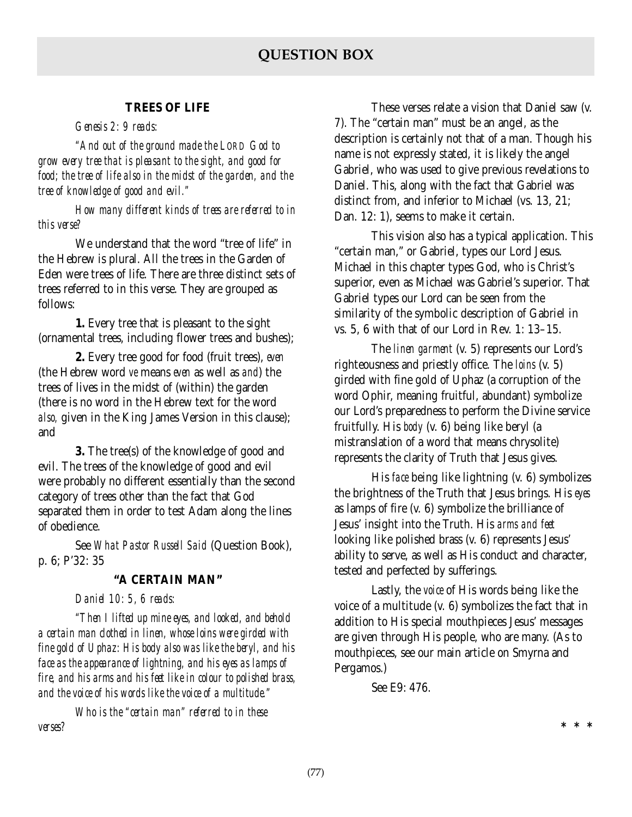## **TREES OF LIFE**

*Genesis 2: 9 reads:*

*"And out of the ground made the LORD God to grow every tree that is pleasant to the sight, and good for food; the tree of life also in the midst of the garden, and the tree of knowledge of good and evil."*

*How many different kinds of trees are referred to in this verse?*

We understand that the word "tree of life" in the Hebrew is plural. All the trees in the Garden of Eden were trees of life. There are three distinct sets of trees referred to in this verse. They are grouped as follows:

**1.** Every tree that is pleasant to the sight (ornamental trees, including flower trees and bushes);

**2.** Every tree good for food (fruit trees), *even* (the Hebrew word *ve* means *even* as well as *and*) the trees of lives in the midst of (within) the garden (there is no word in the Hebrew text for the word *also,* given in the King James Version in this clause); and

**3.** The tree(s) of the knowledge of good and evil. The trees of the knowledge of good and evil were probably no different essentially than the second category of trees other than the fact that God separated them in order to test Adam along the lines of obedience.

See *What Pastor Russell Said* (Question Book), p. 6; P'32: 35

## **"A CERTAIN MAN"**

*Daniel 10: 5, 6 reads:*

*"Then I lifted up mine eyes, and looked, and behold a certain man clothed in linen, whose loins were girded with fine gold of Uphaz: His body also was like the beryl, and his face as the appearance of lightning, and his eyes as lamps of fire, and his arms and his feet like in colour to polished brass, and the voice of his words like the voice of a multitude."*

*Who is the "certain man" referred to in these verses?*

These verses relate a vision that Daniel saw (v. 7). The "certain man" must be an angel, as the description is certainly not that of a man. Though his name is not expressly stated, it is likely the angel Gabriel, who was used to give previous revelations to Daniel. This, along with the fact that Gabriel was distinct from, and inferior to Michael (vs. 13, 21; Dan. 12: 1), seems to make it certain.

This vision also has a typical application. This "certain man," or Gabriel, types our Lord Jesus. Michael in this chapter types God, who is Christ's superior, even as Michael was Gabriel's superior. That Gabriel types our Lord can be seen from the similarity of the symbolic description of Gabriel in vs. 5, 6 with that of our Lord in Rev. 1: 13–15.

The *linen garment* (v. 5) represents our Lord's righteousness and priestly office. The *loins* (v. 5) girded with fine gold of Uphaz (a corruption of the word Ophir, meaning fruitful, abundant) symbolize our Lord's preparedness to perform the Divine service fruitfully. His *body* (v. 6) being like beryl (a mistranslation of a word that means chrysolite) represents the clarity of Truth that Jesus gives.

His *face* being like lightning (v. 6) symbolizes the brightness of the Truth that Jesus brings. His *eyes* as lamps of fire (v. 6) symbolize the brilliance of Jesus' insight into the Truth. His *arms and feet* looking like polished brass (v. 6) represents Jesus' ability to serve, as well as His conduct and character, tested and perfected by sufferings.

Lastly, the *voice* of His words being like the voice of a multitude (v. 6) symbolizes the fact that in addition to His special mouthpieces Jesus' messages are given through His people, who are many. (As to mouthpieces, see our main article on Smyrna and Pergamos.)

**\*\*\***

See E9: 476.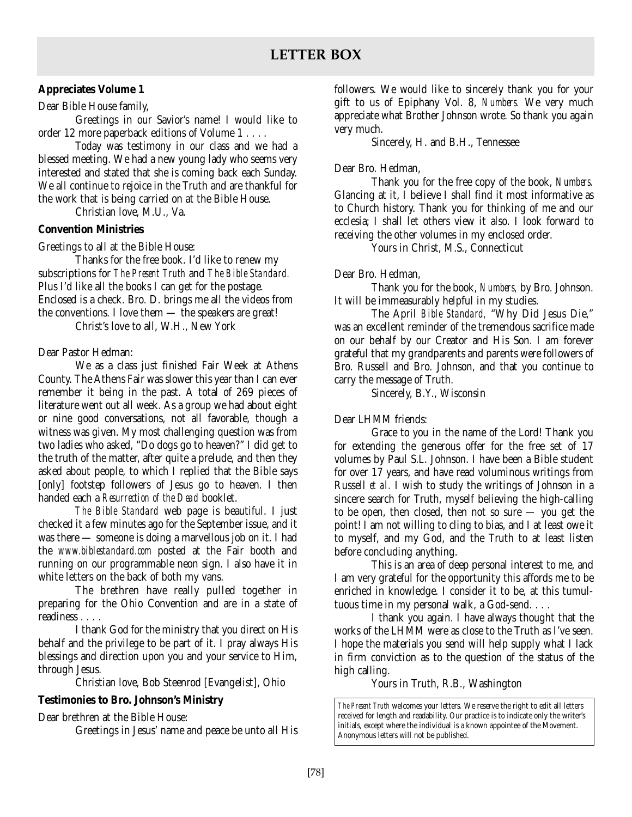## **Appreciates Volume 1**

Dear Bible House family,

Greetings in our Savior's name! I would like to order 12 more paperback editions of Volume 1 . . . .

Today was testimony in our class and we had a blessed meeting. We had a new young lady who seems very interested and stated that she is coming back each Sunday. We all continue to rejoice in the Truth and are thankful for the work that is being carried on at the Bible House.

Christian love, M.U., Va.

## **Convention Ministries**

Greetings to all at the Bible House:

Thanks for the free book. I'd like to renew my subscriptions for *The Present Truth* and *The Bible Standard.* Plus I'd like all the books I can get for the postage. Enclosed is a check. Bro. D. brings me all the videos from the conventions. I love them — the speakers are great!

Christ's love to all, W.H., New York

## Dear Pastor Hedman:

We as a class just finished Fair Week at Athens County. The Athens Fair was slower this year than I can ever remember it being in the past. A total of 269 pieces of literature went out all week. As a group we had about eight or nine good conversations, not all favorable, though a witness was given. My most challenging question was from two ladies who asked, "Do dogs go to heaven?" I did get to the truth of the matter, after quite a prelude, and then they asked about people, to which I replied that the Bible says [only] footstep followers of Jesus go to heaven. I then handed each a *Resurrection of the Dead* booklet.

*The Bible Standard* web page is beautiful. I just checked it a few minutes ago for the September issue, and it was there — someone is doing a marvellous job on it. I had the *www.biblestandard.com* posted at the Fair booth and running on our programmable neon sign. I also have it in white letters on the back of both my vans.

The brethren have really pulled together in preparing for the Ohio Convention and are in a state of readiness . . . .

I thank God for the ministry that you direct on His behalf and the privilege to be part of it. I pray always His blessings and direction upon you and your service to Him, through Jesus.

Christian love, Bob Steenrod [Evangelist], Ohio

## **Testimonies to Bro. Johnson's Ministry**

Dear brethren at the Bible House:

Greetings in Jesus' name and peace be unto all His

followers. We would like to sincerely thank you for your gift to us of Epiphany Vol. 8, *Numbers.* We very much appreciate what Brother Johnson wrote. So thank you again very much.

Sincerely, H. and B.H., Tennessee

## Dear Bro. Hedman,

Thank you for the free copy of the book, *Numbers.* Glancing at it, I believe I shall find it most informative as to Church history. Thank you for thinking of me and our ecclesia; I shall let others view it also. I look forward to receiving the other volumes in my enclosed order.

Yours in Christ, M.S., Connecticut

## Dear Bro. Hedman,

Thank you for the book, *Numbers,* by Bro. Johnson. It will be immeasurably helpful in my studies.

The April *Bible Standard,* "Why Did Jesus Die," was an excellent reminder of the tremendous sacrifice made on our behalf by our Creator and His Son. I am forever grateful that my grandparents and parents were followers of Bro. Russell and Bro. Johnson, and that you continue to carry the message of Truth.

Sincerely, B.Y., Wisconsin

## Dear LHMM friends:

Grace to you in the name of the Lord! Thank you for extending the generous offer for the free set of 17 volumes by Paul S.L. Johnson. I have been a Bible student for over 17 years, and have read voluminous writings from Russell *et al.* I wish to study the writings of Johnson in a sincere search for Truth, myself believing the high-calling to be open, then closed, then not so sure  $-$  you get the point! I am not willing to cling to bias, and I at least owe it to myself, and my God, and the Truth to at least listen before concluding anything.

This is an area of deep personal interest to me, and I am very grateful for the opportunity this affords me to be enriched in knowledge. I consider it to be, at this tumultuous time in my personal walk, a God-send. . . .

I thank you again. I have always thought that the works of the LHMM were as close to the Truth as I've seen. I hope the materials you send will help supply what I lack in firm conviction as to the question of the status of the high calling.

Yours in Truth, R.B., Washington

*The Present Truth* welcomes your letters. We reserve the right to edit all letters received for length and readability. Our practice is to indicate only the writer's initials, except where the individual is a known appointee of the Movement. Anonymous letters will not be published.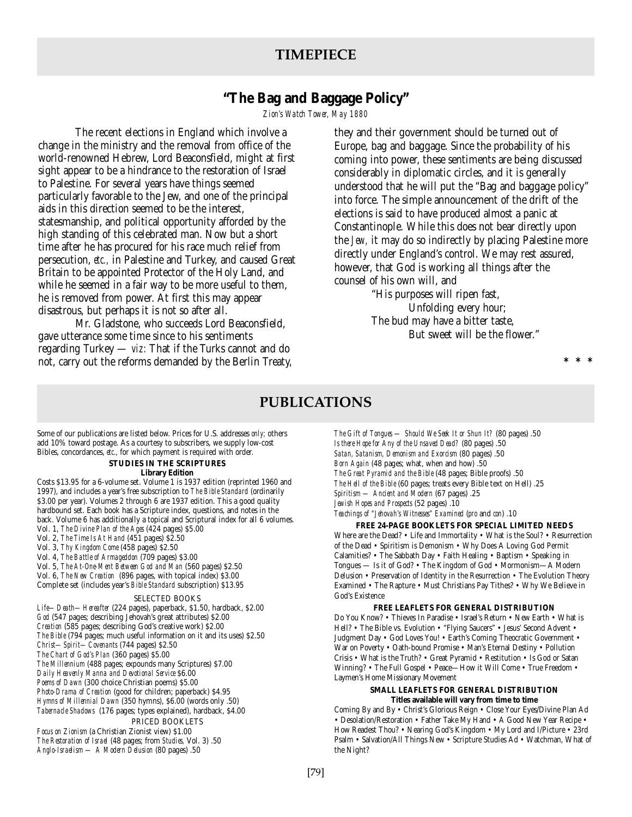# **"The Bag and Baggage Policy"**

*Zion's Watch Tower, May 1880*

The recent elections in England which involve a change in the ministry and the removal from office of the world-renowned Hebrew, Lord Beaconsfield, might at first sight appear to be a hindrance to the restoration of Israel to Palestine. For several years have things seemed particularly favorable to the Jew, and one of the principal aids in this direction seemed to be the interest, statesmanship, and political opportunity afforded by the high standing of this celebrated man. Now but a short time after he has procured for his race much relief from persecution, *etc.,* in Palestine and Turkey, and caused Great Britain to be appointed Protector of the Holy Land, and while he seemed in a fair way to be more useful to them, he is removed from power. At first this may appear disastrous, but perhaps it is not so after all.

Mr. Gladstone, who succeeds Lord Beaconsfield, gave utterance some time since to his sentiments regarding Turkey — *viz:* That if the Turks cannot and do not, carry out the reforms demanded by the Berlin Treaty, they and their government should be turned out of Europe, bag and baggage. Since the probability of his coming into power, these sentiments are being discussed considerably in diplomatic circles, and it is generally understood that he will put the "Bag and baggage policy" into force. The simple announcement of the drift of the elections is said to have produced almost a panic at Constantinople. While this does not bear directly upon the *Jew,* it may do so indirectly by placing Palestine more directly under England's control. We may rest assured, however, that God is working all things after the counsel of his own will, and

> "His purposes will ripen fast, Unfolding every hour; The bud may have a bitter taste, But sweet will be the flower."

> > **\*\*\***

## **PUBLICATIONS**

Some of our publications are listed below. Prices for U.S. addresses *only;* others add 10% toward postage. As a courtesy to subscribers, we supply low-cost Bibles, concordances, *etc*., for which payment is required with order.

## **STUDIES IN THE SCRIPTURES**

#### **Library Edition**

Costs \$13.95 for a 6-volume set. Volume 1 is 1937 edition (reprinted 1960 and 1997), and includes a year's free subscription to *The Bible Standard* (ordinarily \$3.00 per year). Volumes 2 through 6 are 1937 edition. This a good quality hardbound set. Each book has a Scripture index, questions, and notes in the back. Volume 6 has additionally a topical and Scriptural index for all 6 volumes. Vol. 1, *The Divine Plan of the Ages* (424 pages) \$5.00 Vol. 2, *The Time Is At Hand* (451 pages) \$2.50

- Vol. 3, *Thy Kingdom Come* (458 pages) \$2.50
- Vol. 4, *The Battle of Armageddon* (709 pages) \$3.00
- Vol. 5, *The At-One-Ment Between God and Man* (560 pages) \$2.50
- Vol. 6, *The New Creation* (896 pages, with topical index) \$3.00

Complete set (includes year's *Bible Standard* subscription) \$13.95

#### SELECTED BOOKS

*Life—Death—Hereafter* (224 pages), paperback, \$1.50, hardback, \$2.00 *God* (547 pages; describing Jehovah's great attributes) \$2.00 *Creation* (585 pages; describing God's creative work) \$2.00 *The Bible* (794 pages; much useful information on it and its uses) \$2.50 *Christ—Spirit—Covenants* (744 pages) \$2.50 *The Chart of God's Plan* (360 pages) \$5.00 *The Millennium* (488 pages; expounds many Scriptures) \$7.00 *Daily Heavenly Manna and Devotional Service* \$6.00 *Poems of Dawn* (300 choice Christian poems) \$5.00 *Photo-Drama of Creation* (good for children; paperback) \$4.95 *Hymns of Millennial Dawn* (350 hymns), \$6.00 (words only .50) *Tabernacle Shadows* (176 pages; types explained), hardback, \$4.00 PRICED BOOKLETS *Focus on Zionism* (a Christian Zionist view) \$1.00 *The Restoration of Israel* (48 pages; from *Studies,* Vol. 3) .50

*Anglo-Israelism — A Modern Delusion* (80 pages) .50

*The Gift of Tongues — Should We Seek It or Shun It?* (80 pages) .50 *Is there Hope for Any of the Unsaved Dead?* (80 pages) .50 *Satan, Satanism, Demonism and Exorcism* (80 pages) .50 *Born Again* (48 pages; what, when and how) .50 *The Great Pyramid and the Bible* (48 pages; Bible proofs) .50 *The Hell of the Bible* (60 pages; treats every Bible text on Hell) .25 *Spiritism — Ancient and Modern* (67 pages) .25 *Jewish Hopes and Prospects* (52 pages) .10 *Teachings of "Jehovah's Witnesses" Examined* (*pro* and *con*) .10

**FREE 24-PAGE BOOKLETS FOR SPECIAL LIMITED NEEDS**

Where are the Dead? • Life and Immortality • What is the Soul? • Resurrection of the Dead • Spiritism is Demonism • Why Does A Loving God Permit Calamities? • The Sabbath Day • Faith Healing • Baptism • Speaking in Tongues — Is it of God? • The Kingdom of God • Mormonism—A Modern Delusion • Preservation of Identity in the Resurrection • The Evolution Theory Examined • The Rapture • Must Christians Pay Tithes? • Why We Believe in God's Existence

#### **FREE LEAFLETS FOR GENERAL DISTRIBUTION**

Do You Know? • Thieves In Paradise • Israel's Return • New Earth • What is Hell? • The Bible vs. Evolution • "Flying Saucers" • Jesus' Second Advent • Judgment Day • God Loves You! • Earth's Coming Theocratic Government • War on Poverty • Oath-bound Promise • Man's Eternal Destiny • Pollution Crisis • What is the Truth? • Great Pyramid • Restitution • Is God or Satan Winning? • The Full Gospel • Peace—How it Will Come • True Freedom • Laymen's Home Missionary Movement

#### **SMALL LEAFLETS FOR GENERAL DISTRIBUTION Titles available will vary from time to time**

Coming By and By • Christ's Glorious Reign • Close Your Eyes/Divine Plan Ad • Desolation/Restoration • Father Take My Hand • A Good New Year Recipe • How Readest Thou? • Nearing God's Kingdom • My Lord and I/Picture • 23rd Psalm • Salvation/All Things New • Scripture Studies Ad • Watchman, What of the Night?